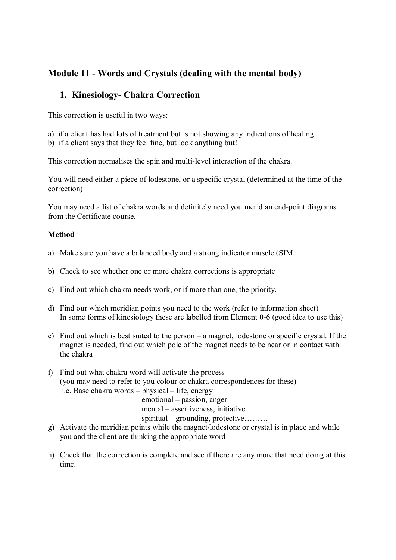# **Module 11 - Words and Crystals (dealing with the mental body) 1. Kinesiology- Chakra Correction**

This correction is useful in two ways:

- a) if a client has had lots of treatment but is not showing any indications of healing
- b) if a client says that they feel fine, but look anything but!

This correction normalises the spin and multi-level interaction of the chakra.

You will need either a piece of lodestone, or a specific crystal (determined at the time of the correction)

You may need a list of chakra words and definitely need you meridian end-point diagrams from the Certificate course.

#### **Method**

- Method<br>a) Make sure you have a balanced body and a strong indicator muscle (SIM b) Make sure you have a balanced body and a strong indicator muscle (SI<br>b) Check to see whether one or more chakra corrections is appropriate
- b) Check to see whether one or more chakra corrections is appropriate<br>c) Find out which chakra needs work, or if more than one, the priority.
- 
- d) Find our which meridian points you need to the work (refer to information sheet) In some forms of kinesiology these are labelled from Element 0-6 (good idea to use this)
- e) Find out which is best suited to the person a magnet, lodestone or specific crystal. If the magnet is needed, find out which pole of the magnet needs to be near or in contact with the chakra
- f) Find out what chakra word will activate the process (you may need to refer to you colour or chakra correspondences for these) Find out what chakra word will activate the process<br>you may need to refer to you colour or chakra correction.<br>i.e. Base chakra words – physical – life, energy (you may need to refer to you colour or chakra corresponsible. Base chakra words – physical – life, energy emotional – passion, anger mantel assertiveness initiative i.e. Base chakra words – physical – life, energy<br>
emotional – passion, anger<br>
mental – assertiveness, initiative<br>
spiritual – grounding, protective........ spiritual – grounding, protective………

- mental assertiveness, initiative<br>g) Activate the meridian points while the magnet/lodestone or crystal is in place and while<br>you and the elignt are thinking the appropriate word you and the client are thinking the appropriate word
- h) Check that the correction is complete and see if there are any more that need doing at this time.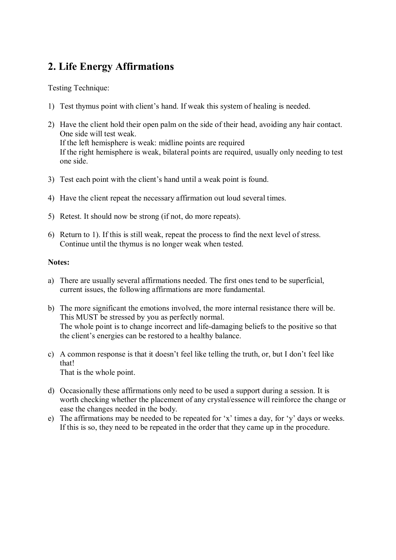## **2. Life Energy Affirmations**

Testing Technique:

- 1) Test thymus point with client's hand. If weak this system of healing is needed.
- 2) Have the client hold their open palm on the side of their head, avoiding any hair contact. One side will test weak. If the left hemisphere is weak: midline points are required If the right hemisphere is weak, bilateral points are required, usually only needing to test one side.
- 3) Test each point with the client's hand until a weak point is found.
- 4) Have the client repeat the necessary affirmation out loud several times. 4) Have the client repeat the necessary affirmation out loud so<br>5) Retest. It should now be strong (if not, do more repeats).
- 
- 6) Retest. It should now be strong (if not, do more repeats).<br>6) Return to 1). If this is still weak, repeat the process to find the next level of stress. Continue until the thymus is no longer weak when tested.

#### **Notes:**

- a) There are usually several affirmations needed. The first ones tend to be superficial, current issues, the following affirmations are more fundamental.
- b) The more significant the emotions involved, the more internal resistance there will be. This MUST be stressed by you as perfectly normal. The whole point is to change incorrect and life-damaging beliefs to the positive so that the client's energies can be restored to a healthy balance.
- c) A common response is that it doesn't feel like telling the truth, or, but I don't feel like that!

That is the whole point.

- d) Occasionally these affirmations only need to be used a support during a session. It is worth checking whether the placement of any crystal/essence will reinforce the change or ease the changes needed in the body.
- e) The affirmations may be needed to be repeated for 'x' times a day, for 'y' days or weeks. If this is so, they need to be repeated in the order that they came up in the procedure.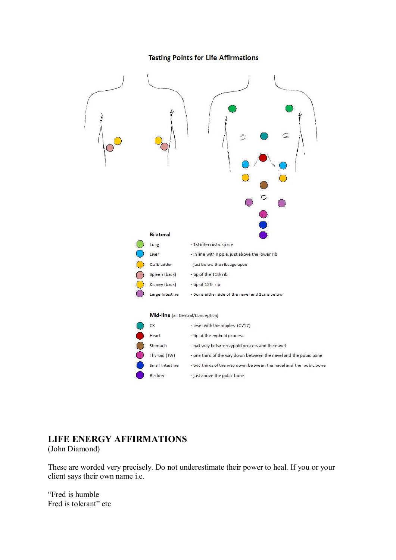#### **Testing Points for Life Affirmations**



#### **LIFE ENERGY AFFIRMATIONS**

(John Diamond)

These are worded very precisely. Do not underestimate their power to heal. If you or your client says their own name i.e.

"Fred is humble Fred is tolerant" etc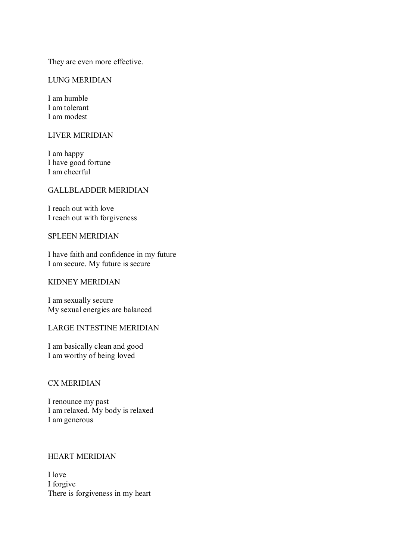They are even more effective.

#### LUNG MERIDIAN

I am humble I am tolerant I am modest

### LIVER MERIDIAN

I am happy I have good fortune I am cheerful

#### GALLBLADDER MERIDIAN

I reach out with love I reach out with forgiveness

#### SPLEEN MERIDIAN

I have faith and confidence in my future I am secure. My future is secure

#### KIDNEY MERIDIAN

I am sexually secure My sexual energies are balanced

#### LARGE INTESTINE MERIDIAN

I am basically clean and good I am worthy of being loved

#### CX MERIDIAN

I renounce my past I am relaxed. My body is relaxed I am generous

#### HEART MERIDIAN

I love I forgive There is forgiveness in my heart